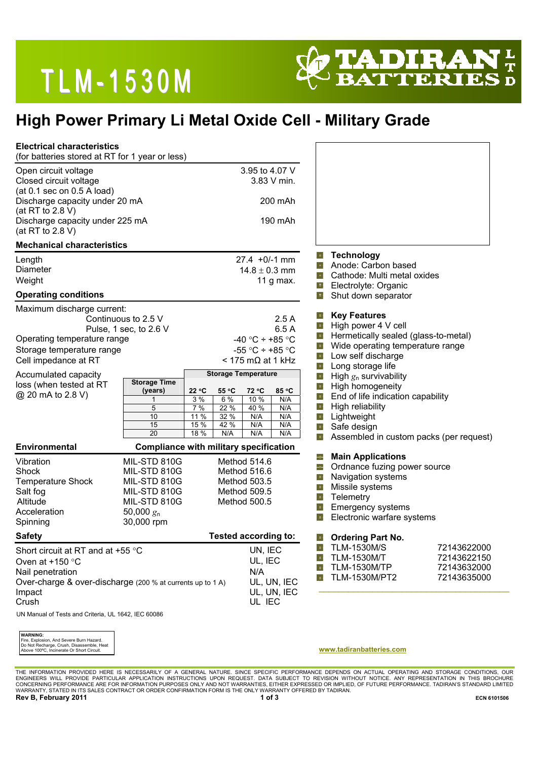## **TLM-1530M**



### **High Power Primary Li Metal Oxide Cell - Military Grade**

| (for batteries stored at RT for 1 year or less)<br>Open circuit voltage                                                                                         |                                                                                                            | 3.95 to 4.07 V                                                                                                                                                     |                                                                                                                                                                                                                             |                                                                          |  |
|-----------------------------------------------------------------------------------------------------------------------------------------------------------------|------------------------------------------------------------------------------------------------------------|--------------------------------------------------------------------------------------------------------------------------------------------------------------------|-----------------------------------------------------------------------------------------------------------------------------------------------------------------------------------------------------------------------------|--------------------------------------------------------------------------|--|
| Closed circuit voltage<br>(at 0.1 sec on 0.5 A load)                                                                                                            |                                                                                                            | 3.83 V min.                                                                                                                                                        |                                                                                                                                                                                                                             |                                                                          |  |
| Discharge capacity under 20 mA<br>(at RT to 2.8 V)                                                                                                              |                                                                                                            | 200 mAh                                                                                                                                                            |                                                                                                                                                                                                                             |                                                                          |  |
| Discharge capacity under 225 mA<br>(at RT to 2.8 V)                                                                                                             |                                                                                                            | 190 mAh                                                                                                                                                            |                                                                                                                                                                                                                             |                                                                          |  |
| <b>Mechanical characteristics</b>                                                                                                                               |                                                                                                            |                                                                                                                                                                    | <b>Technology</b><br>÷,                                                                                                                                                                                                     |                                                                          |  |
| Length<br><b>Diameter</b><br>Weight                                                                                                                             |                                                                                                            | $27.4 + 0/-1$ mm<br>$14.8 \pm 0.3$ mm<br>11 g max.                                                                                                                 | Anode: Carbon based<br>F.<br>車<br>Cathode: Multi metal oxides<br>-ቀ<br>Electrolyte: Organic                                                                                                                                 |                                                                          |  |
| <b>Operating conditions</b>                                                                                                                                     |                                                                                                            |                                                                                                                                                                    | Shut down separator<br>車                                                                                                                                                                                                    |                                                                          |  |
| Maximum discharge current:<br>Continuous to 2.5 V<br>Pulse, 1 sec, to 2.6 V<br>Operating temperature range<br>Storage temperature range<br>Cell impedance at RT |                                                                                                            | 2.5A<br>6.5 A<br>-40 °C ÷ +85 °C<br>-55 °C ÷ +85 °C<br>$<$ 175 m $\Omega$ at 1 kHz                                                                                 | <b>Key Features</b><br>車<br>High power 4 V cell<br>車<br>÷,<br>ф.<br>Low self discharge<br>ф.<br>ψ.<br>Long storage life                                                                                                     | Hermetically sealed (glass-to-metal)<br>Wide operating temperature range |  |
| Accumulated capacity<br>loss (when tested at RT<br>@ 20 mA to 2.8 V)                                                                                            | <b>Storage Time</b><br>22 °C<br>(years)<br>3 %<br>1<br>5<br>7 %<br>10<br>11 %<br>15<br>15 %<br>20<br>18 %  | <b>Storage Temperature</b><br>55 °C<br>72 °C<br>85 °C<br>6%<br>10 %<br>N/A<br>40 %<br>22 %<br>N/A<br>32 %<br>N/A<br>N/A<br>42 %<br>N/A<br>N/A<br>N/A<br>N/A<br>N/A | High $g_n$ survivability<br>41<br>4<br>High homogeneity<br>-0<br>End of life indication capability<br>$\Phi$<br>High reliability<br>Lightweight<br>-0-<br>Safe design<br>-4<br>Assembled in custom packs (per request)<br>車 |                                                                          |  |
| <b>Environmental</b>                                                                                                                                            |                                                                                                            | <b>Compliance with military specification</b>                                                                                                                      |                                                                                                                                                                                                                             |                                                                          |  |
| Vibration<br>Shock<br>Temperature Shock<br>Salt fog<br>Altitude<br>Acceleration<br>Spinning                                                                     | MIL-STD 810G<br>MIL-STD 810G<br>MIL-STD 810G<br>MIL-STD 810G<br>MIL-STD 810G<br>50,000 $g_n$<br>30,000 rpm | Method 514.6<br>Method 516.6<br>Method 503.5<br>Method 509.5<br>Method 500.5                                                                                       | <b>Main Applications</b><br>¢,<br>Ordnance fuzing power source<br>卓<br>Navigation systems<br>中<br>Missile systems<br>中<br>車<br>Telemetry<br>ф.<br><b>Emergency systems</b><br>ф.<br>Electronic warfare systems              |                                                                          |  |
| <b>Safety</b>                                                                                                                                                   |                                                                                                            | <b>Tested according to:</b>                                                                                                                                        | 4<br><b>Ordering Part No.</b>                                                                                                                                                                                               |                                                                          |  |
| Short circuit at RT and at $+55$ °C<br>Oven at $+150$ °C<br>Nail penetration<br>Over-charge & over-discharge (200 % at currents up to 1 A)<br>Impact<br>Crush   |                                                                                                            | UN, IEC<br>UL, IEC<br>N/A<br>UL, UN, IEC<br>UL, UN, IEC<br>UL IEC                                                                                                  | 4<br><b>TLM-1530M/S</b><br>-19<br><b>TLM-1530M/T</b><br>41<br><b>TLM-1530M/TP</b><br>TLM-1530M/PT2<br>÷                                                                                                                     | 72143622000<br>72143622150<br>72143632000<br>72143635000                 |  |

| <b>WARNING:</b>                                                                                                                    |
|------------------------------------------------------------------------------------------------------------------------------------|
|                                                                                                                                    |
|                                                                                                                                    |
| Fire, Explosion, And Severe Burn Hazard.<br>Do Not Recharge, Crush, Disassemble, Heat<br>Above 100°C, Incinerate Or Short Circuit. |

**www.tadiranbatteries.com** 

THE INFORMATION PROVIDED HERE IS NECESSARILY OF A GENERAL NATURE. SINCE SPECIFIC PERFORMANCE DEPENDS ON ACTUAL OPERATING AND STORAGE CONDITIONS, OUR<br>ENGINEERS WILL PROVIDE PARTICULAR APPLICATION INSTRUCTIONS UPON REQUEST.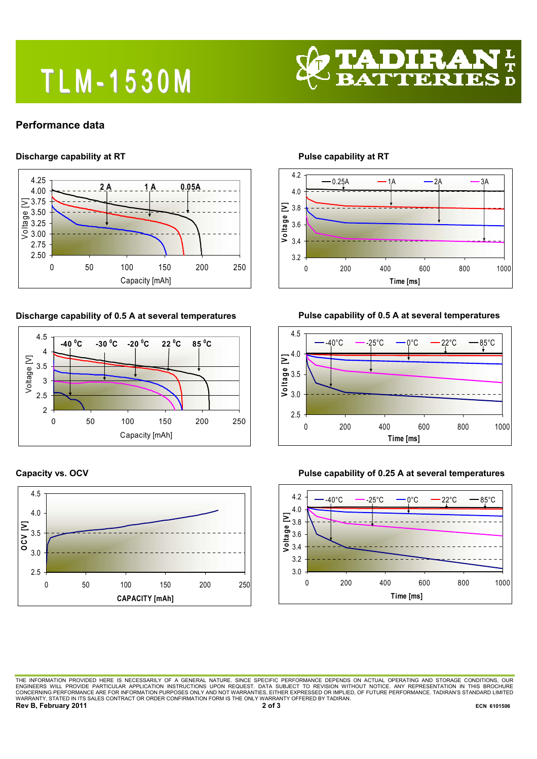# **TLM-1530M**



#### **Performance data**

#### **Discharge capability at RT**



**Discharge capability of 0.5 A at several temperatures** 



#### **Capacity vs. OCV**



**Pulse capability at RT** 



### **Pulse capability of 0.5 A at several temperatures**





#### **Pulse capability of 0.25 A at several temperatures**

THE INFORMATION PROVIDED HERE IS NECESSARILY OF A GENERAL NATURE. SINCE SPECIFIC PERFORMANCE DEPENDS ON ACTUAL OPERATING AND STORAGE CONDITIONS, OUR<br>ENGINEERS WILL PROVIDE PARTICULAR APPLICATION INSTRUCTIONS UPON REQUEST. WARRANTY, STATED IN ITS SALES CONTRACT OR ORDER CONFIRMATION FORM IS THE ONLY WARRANTY, STATED IN ITS SALES CONTRACT OR ORDER CONFIRMATION FORM IS THE ONLY WARRANTY OFFERED BY TADIRAN.<br>Rev B, February 2011 **Rev B, February 2011** 2 of 3 **ECN 6101506 ECN 6101506**